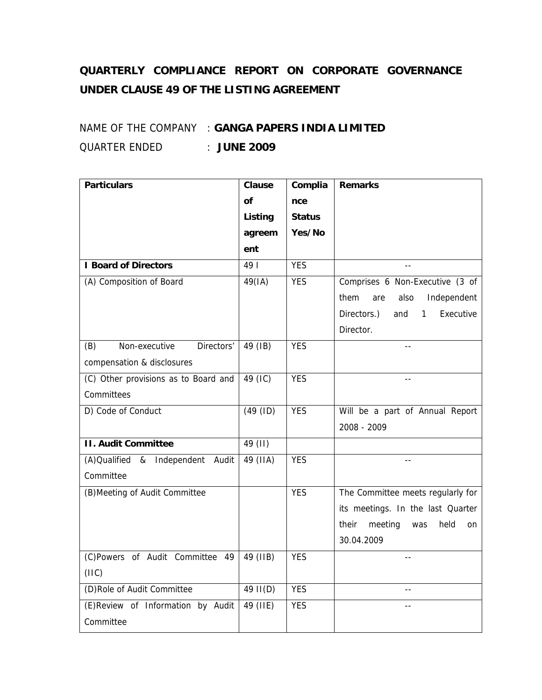## **QUARTERLY COMPLIANCE REPORT ON CORPORATE GOVERNANCE UNDER CLAUSE 49 OF THE LISTING AGREEMENT**

## NAME OF THE COMPANY : **GANGA PAPERS INDIA LIMITED** QUARTER ENDED : **JUNE 2009**

| <b>Particulars</b>                     | <b>Clause</b> | Complia       | <b>Remarks</b>                        |
|----------------------------------------|---------------|---------------|---------------------------------------|
|                                        | <b>of</b>     | nce           |                                       |
|                                        | Listing       | <b>Status</b> |                                       |
|                                        | agreem        | Yes/No        |                                       |
|                                        | ent           |               |                                       |
| <b>I Board of Directors</b>            | 49            | <b>YES</b>    | $\sim$ $\sim$                         |
| (A) Composition of Board               | 49(IA)        | <b>YES</b>    | Comprises 6 Non-Executive (3 of       |
|                                        |               |               | them<br>also<br>Independent<br>are    |
|                                        |               |               | Directors.)<br>Executive<br>and<br>1  |
|                                        |               |               | Director.                             |
| (B)<br>Non-executive<br>Directors'     | 49 (IB)       | <b>YES</b>    |                                       |
| compensation & disclosures             |               |               |                                       |
| (C) Other provisions as to Board and   | 49 (IC)       | <b>YES</b>    |                                       |
| Committees                             |               |               |                                       |
| D) Code of Conduct                     | (49 (ID)      | <b>YES</b>    | Will be a part of Annual Report       |
|                                        |               |               | 2008 - 2009                           |
| <b>II. Audit Committee</b>             | 49 (II)       |               |                                       |
| (A)Qualified<br>&<br>Independent Audit | 49 (IIA)      | <b>YES</b>    | $-$                                   |
| Committee                              |               |               |                                       |
| (B) Meeting of Audit Committee         |               | <b>YES</b>    | The Committee meets regularly for     |
|                                        |               |               | its meetings. In the last Quarter     |
|                                        |               |               | their<br>meeting<br>held<br>was<br>on |
|                                        |               |               | 30.04.2009                            |
| (C)Powers of Audit Committee 49        | 49 (IIB)      | <b>YES</b>    | $-$                                   |
| (IIIC)                                 |               |               |                                       |
| (D)Role of Audit Committee             | $49$ II(D)    | <b>YES</b>    | $-1$                                  |
| (E)Review of Information by Audit      | 49 (IIE)      | <b>YES</b>    | $- -$                                 |
| Committee                              |               |               |                                       |